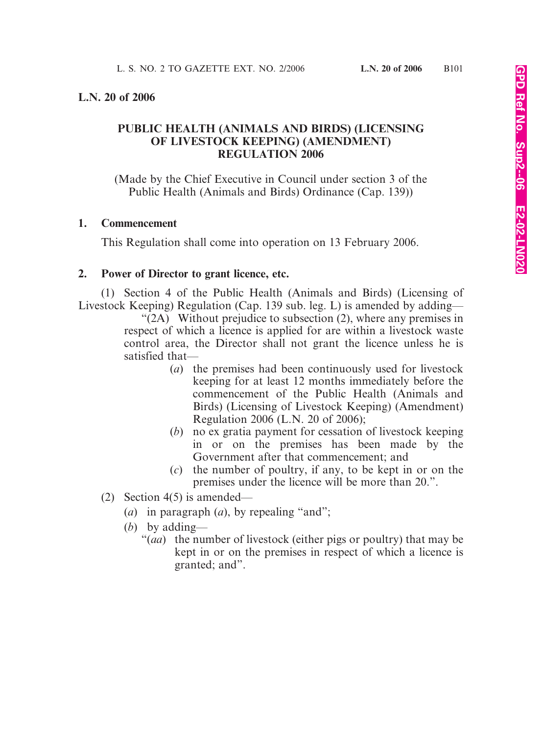## **L.N. 20 of 2006**

# **PUBLIC HEALTH (ANIMALS AND BIRDS) (LICENSING OF LIVESTOCK KEEPING) (AMENDMENT) REGULATION 2006**

(Made by the Chief Executive in Council under section 3 of the Public Health (Animals and Birds) Ordinance (Cap. 139))

#### **1. Commencement**

This Regulation shall come into operation on 13 February 2006.

## **2. Power of Director to grant licence, etc.**

(1) Section 4 of the Public Health (Animals and Birds) (Licensing of Livestock Keeping) Regulation (Cap. 139 sub. leg. L) is amended by adding—

 $\sqrt{\text{2A}}$  Without prejudice to subsection (2), where any premises in respect of which a licence is applied for are within a livestock waste control area, the Director shall not grant the licence unless he is satisfied that—

- (*a*) the premises had been continuously used for livestock keeping for at least 12 months immediately before the commencement of the Public Health (Animals and Birds) (Licensing of Livestock Keeping) (Amendment) Regulation 2006 (L.N. 20 of 2006);
- (*b*) no ex gratia payment for cessation of livestock keeping in or on the premises has been made by the Government after that commencement; and
- (*c*) the number of poultry, if any, to be kept in or on the premises under the licence will be more than 20.".
- (2) Section 4(5) is amended—
	- (*a*) in paragraph (*a*), by repealing "and";
	- (*b*) by adding—
		- "(*aa*) the number of livestock (either pigs or poultry) that may be kept in or on the premises in respect of which a licence is granted; and".